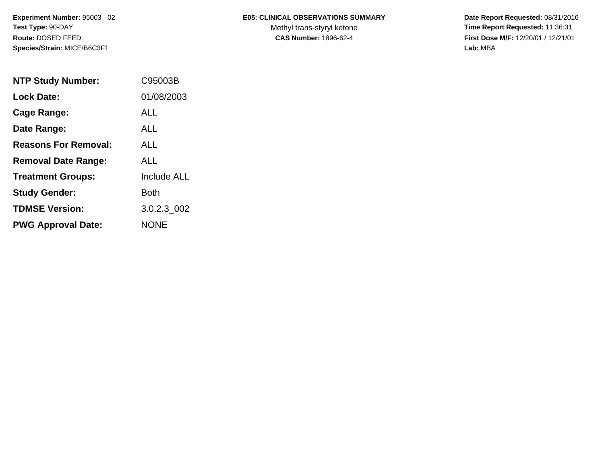# **E05: CLINICAL OBSERVATIONS SUMMARY**

Methyl trans-styryl ketone<br>CAS Number: 1896-62-4

 **Date Report Requested:** 08/31/2016 **Time Report Requested:** 11:36:31 **First Dose M/F:** 12/20/01 / 12/21/01<br>Lab: MBA **Lab:** MBA

| <b>NTP Study Number:</b>    | C95003B            |
|-----------------------------|--------------------|
| Lock Date:                  | 01/08/2003         |
| Cage Range:                 | ALL.               |
| Date Range:                 | ALL.               |
| <b>Reasons For Removal:</b> | ALL                |
| <b>Removal Date Range:</b>  | ALL                |
| <b>Treatment Groups:</b>    | <b>Include ALL</b> |
| <b>Study Gender:</b>        | Both               |
| <b>TDMSE Version:</b>       | 3.0.2.3_002        |
| <b>PWG Approval Date:</b>   | <b>NONE</b>        |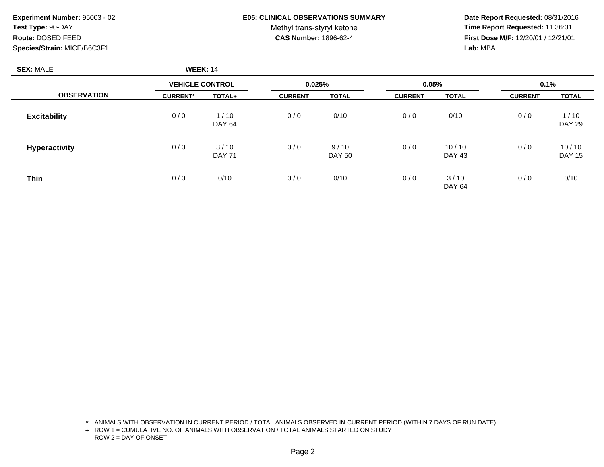## **E05: CLINICAL OBSERVATIONS SUMMARY**

Methyl trans-styryl ketone<br>CAS Number: 1896-62-4

 **Date Report Requested:** 08/31/2016 **Time Report Requested:** 11:36:31 **First Dose M/F:** 12/20/01 / 12/21/01<br>**Lab:** MBA **Lab:** MBA

| <b>SEX: MALE</b>     | <b>WEEK: 14</b>        |                       |                |                       |                |                        |                |                        |
|----------------------|------------------------|-----------------------|----------------|-----------------------|----------------|------------------------|----------------|------------------------|
|                      | <b>VEHICLE CONTROL</b> |                       | 0.025%         |                       | 0.05%          |                        | 0.1%           |                        |
| <b>OBSERVATION</b>   | <b>CURRENT*</b>        | TOTAL+                | <b>CURRENT</b> | <b>TOTAL</b>          | <b>CURRENT</b> | <b>TOTAL</b>           | <b>CURRENT</b> | <b>TOTAL</b>           |
| <b>Excitability</b>  | 0/0                    | 1/10<br>DAY 64        | 0/0            | 0/10                  | 0/0            | 0/10                   | 0/0            | 1/10<br><b>DAY 29</b>  |
| <b>Hyperactivity</b> | 0/0                    | 3/10<br><b>DAY 71</b> | 0/0            | 9/10<br><b>DAY 50</b> | 0/0            | 10/10<br><b>DAY 43</b> | 0/0            | 10/10<br><b>DAY 15</b> |
| <b>Thin</b>          | 0/0                    | 0/10                  | 0/0            | 0/10                  | 0/0            | 3/10<br><b>DAY 64</b>  | 0/0            | 0/10                   |

\* ANIMALS WITH OBSERVATION IN CURRENT PERIOD / TOTAL ANIMALS OBSERVED IN CURRENT PERIOD (WITHIN 7 DAYS OF RUN DATE)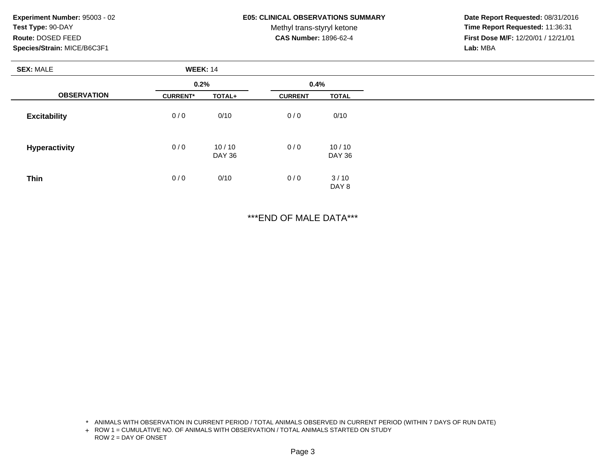#### **E05: CLINICAL OBSERVATIONS SUMMARY**

Methyl trans-styryl ketone<br>CAS Number: 1896-62-4

 **Date Report Requested:** 08/31/2016 **Time Report Requested:** 11:36:31 **First Dose M/F:** 12/20/01 / 12/21/01<br>**Lab:** MBA **Lab:** MBA

| <b>SEX: MALE</b>    | <b>WEEK: 14</b> |                 |                |                 |
|---------------------|-----------------|-----------------|----------------|-----------------|
| 0.2%                |                 | 0.4%            |                |                 |
| <b>OBSERVATION</b>  | <b>CURRENT*</b> | TOTAL+          | <b>CURRENT</b> | <b>TOTAL</b>    |
| <b>Excitability</b> | 0/0             | 0/10            | 0/0            | 0/10            |
| Hyperactivity       | 0/0             | 10/10<br>DAY 36 | 0/0            | 10/10<br>DAY 36 |
| <b>Thin</b>         | 0/0             | 0/10            | 0/0            | 3/10<br>DAY 8   |

\*\*\*END OF MALE DATA\*\*\*

\* ANIMALS WITH OBSERVATION IN CURRENT PERIOD / TOTAL ANIMALS OBSERVED IN CURRENT PERIOD (WITHIN 7 DAYS OF RUN DATE)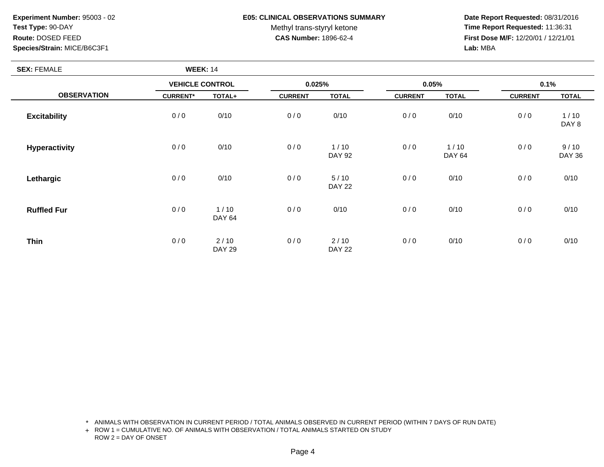**SEX:** FEMALE

## **E05: CLINICAL OBSERVATIONS SUMMARY**

Methyl trans-styryl ketone<br>CAS Number: 1896-62-4

 **Date Report Requested:** 08/31/2016 **Time Report Requested:** 11:36:31 **First Dose M/F:** 12/20/01 / 12/21/01<br>**Lab:** MBA **Lab:** MBA

| <b>SEX: FEMALE</b>   | <b>WEEK: 14</b>        |                       |                |                       |                |                         |                |                       |
|----------------------|------------------------|-----------------------|----------------|-----------------------|----------------|-------------------------|----------------|-----------------------|
|                      | <b>VEHICLE CONTROL</b> |                       | 0.025%         |                       | 0.05%          |                         | 0.1%           |                       |
| <b>OBSERVATION</b>   | <b>CURRENT*</b>        | <b>TOTAL+</b>         | <b>CURRENT</b> | <b>TOTAL</b>          | <b>CURRENT</b> | <b>TOTAL</b>            | <b>CURRENT</b> | <b>TOTAL</b>          |
| <b>Excitability</b>  | 0/0                    | 0/10                  | 0/0            | 0/10                  | 0/0            | 0/10                    | 0/0            | 1/10<br>DAY 8         |
| <b>Hyperactivity</b> | 0/0                    | 0/10                  | 0/0            | 1/10<br><b>DAY 92</b> | 0/0            | $1/10$<br><b>DAY 64</b> | 0/0            | 9/10<br><b>DAY 36</b> |
| Lethargic            | 0/0                    | 0/10                  | 0/0            | 5/10<br><b>DAY 22</b> | 0/0            | 0/10                    | 0/0            | 0/10                  |
| <b>Ruffled Fur</b>   | 0/0                    | 1/10<br><b>DAY 64</b> | 0/0            | 0/10                  | 0/0            | 0/10                    | 0/0            | 0/10                  |
| <b>Thin</b>          | 0/0                    | 2/10<br><b>DAY 29</b> | 0/0            | 2/10<br><b>DAY 22</b> | 0/0            | 0/10                    | 0/0            | 0/10                  |

\* ANIMALS WITH OBSERVATION IN CURRENT PERIOD / TOTAL ANIMALS OBSERVED IN CURRENT PERIOD (WITHIN 7 DAYS OF RUN DATE)